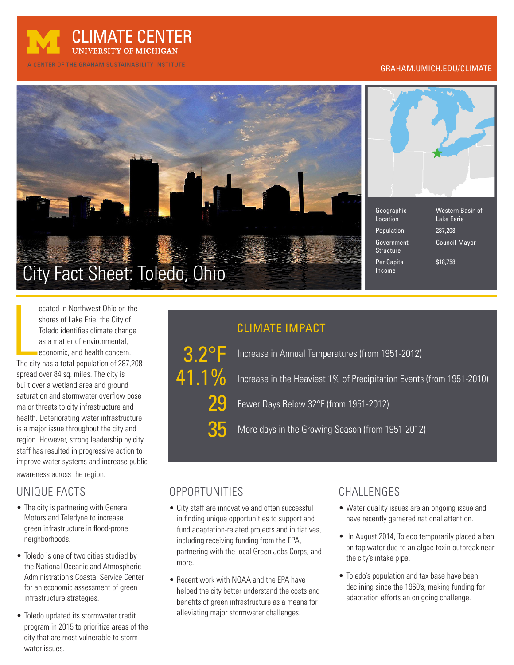

#### A CENTER OF THE GRAHAM SUSTAINABILITY INSTITUTE

#### GRAHAM.UMICH.EDU/CLIMATE



| Geographic<br>Location         | Western Basin of<br>Lake Eerie |
|--------------------------------|--------------------------------|
| Population                     | 287,208                        |
| Government<br><b>Structure</b> | Council-Mayor                  |

Per Capita  $$18.758$ 

ocated in Northwest Ohio on the<br>shores of Lake Erie, the City of<br>Toledo identifies climate change<br>as a matter of environmental,<br>economic, and health concern.<br>The city has a total population of 287,208 ocated in Northwest Ohio on the shores of Lake Erie, the City of Toledo identifies climate change as a matter of environmental, economic, and health concern.

spread over 84 sq. miles. The city is built over a wetland area and ground saturation and stormwater overflow pose major threats to city infrastructure and health. Deteriorating water infrastructure is a major issue throughout the city and region. However, strong leadership by city staff has resulted in progressive action to improve water systems and increase public awareness across the region.

#### UNIQUE FACTS

- The city is partnering with General Motors and Teledyne to increase green infrastructure in flood-prone neighborhoods.
- Toledo is one of two cities studied by the National Oceanic and Atmospheric Administration's Coastal Service Center for an economic assessment of green infrastructure strategies.
- Toledo updated its stormwater credit program in 2015 to prioritize areas of the city that are most vulnerable to stormwater issues.

## CLIMATE IMPACT

3.2°F 29 41.1% 35

 Increase in Annual Temperatures (from 1951-2012) Increase in the Heaviest 1% of Precipitation Events (from 1951-2010) Fewer Days Below 32°F (from 1951-2012) More days in the Growing Season (from 1951-2012)

Income

### OPPORTUNITIES

- City staff are innovative and often successful in finding unique opportunities to support and fund adaptation-related projects and initiatives, including receiving funding from the EPA, partnering with the local Green Jobs Corps, and more.
- Recent work with NOAA and the EPA have helped the city better understand the costs and benefits of green infrastructure as a means for alleviating major stormwater challenges.

#### CHALLENGES

- Water quality issues are an ongoing issue and have recently garnered national attention.
- In August 2014, Toledo temporarily placed a ban on tap water due to an algae toxin outbreak near the city's intake pipe.
- Toledo's population and tax base have been declining since the 1960's, making funding for adaptation efforts an on going challenge.